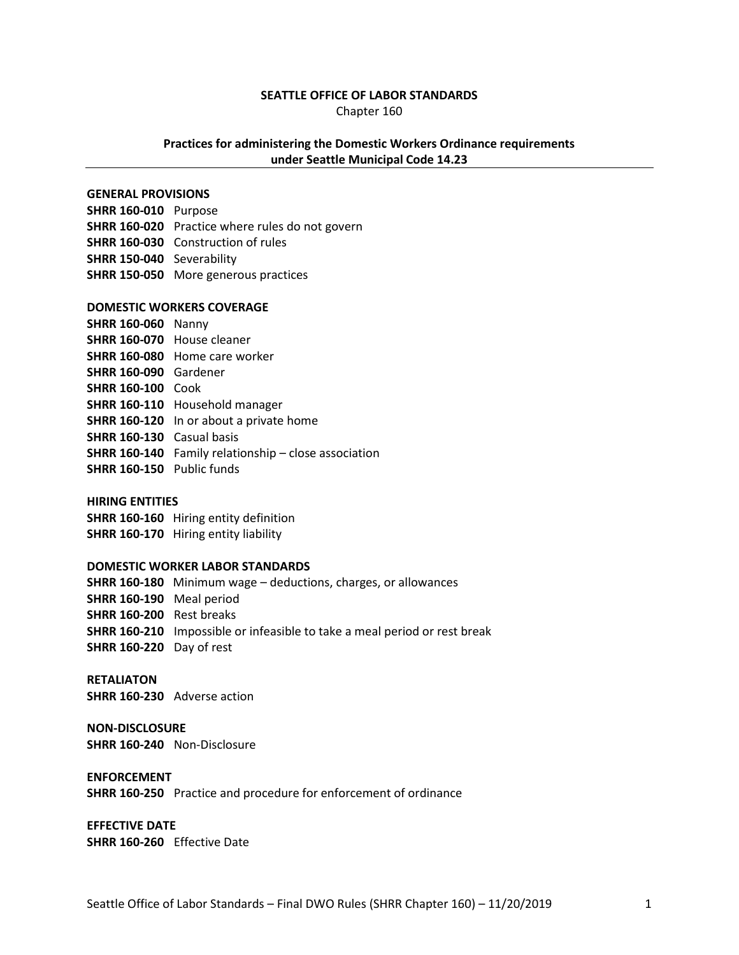#### **SEATTLE OFFICE OF LABOR STANDARDS**

Chapter 160

### **Practices for administering the Domestic Workers Ordinance requirements under Seattle Municipal Code 14.23**

#### **GENERAL PROVISIONS**

**SHRR 160-010** Purpose **SHRR 160-020** Practice where rules do not govern **SHRR 160-030** Construction of rules **SHRR 150-040** Severability **SHRR 150-050** More generous practices

#### **DOMESTIC WORKERS COVERAGE**

- **SHRR 160-060** Nanny **SHRR 160-070** House cleaner **SHRR 160-080** Home care worker **SHRR 160-090** Gardener **SHRR 160-100** Cook **SHRR 160-110** Household manager **SHRR 160-120** In or about a private home **SHRR 160-130** Casual basis **SHRR 160-140** Family relationship – close association **SHRR 160-150** Public funds
- 

### **HIRING ENTITIES**

**SHRR 160-160** Hiring entity definition **SHRR 160-170** Hiring entity liability

#### **DOMESTIC WORKER LABOR STANDARDS**

**SHRR 160-180** Minimum wage – deductions, charges, or allowances **SHRR 160-190** Meal period **SHRR 160-200** Rest breaks **SHRR 160-210** Impossible or infeasible to take a meal period or rest break **SHRR 160-220** Day of rest

# **RETALIATON**

**SHRR 160-230** Adverse action

#### **NON-DISCLOSURE**

**SHRR 160-240** Non-Disclosure

#### **ENFORCEMENT**

**SHRR 160-250** Practice and procedure for enforcement of ordinance

**EFFECTIVE DATE SHRR 160-260** Effective Date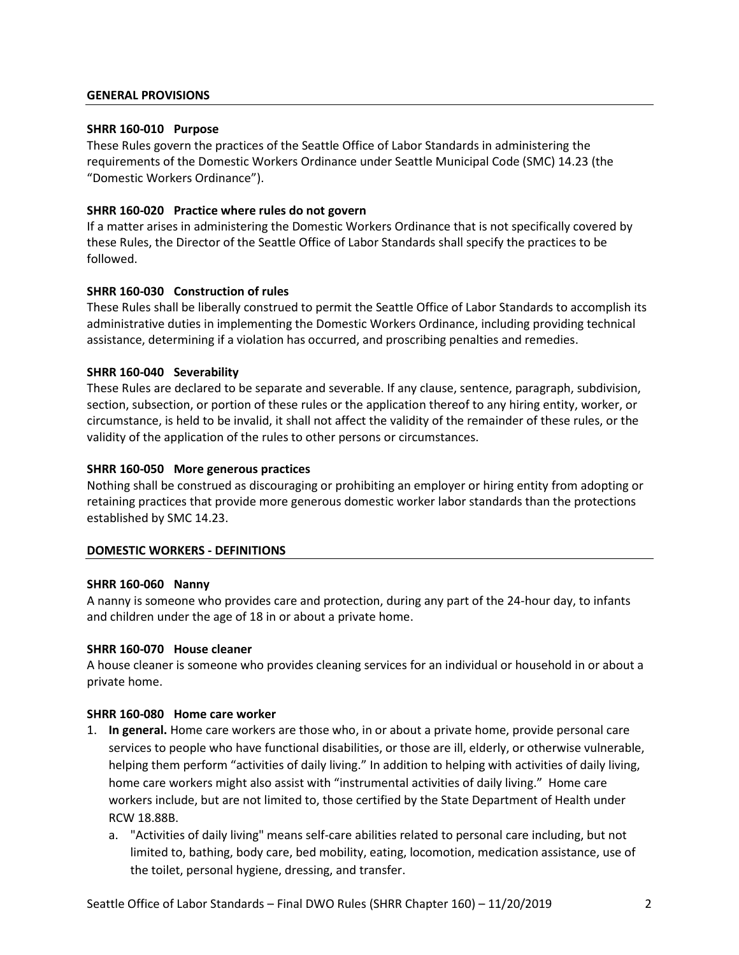### **GENERAL PROVISIONS**

### **SHRR 160-010 Purpose**

These Rules govern the practices of the Seattle Office of Labor Standards in administering the requirements of the Domestic Workers Ordinance under Seattle Municipal Code (SMC) 14.23 (the "Domestic Workers Ordinance").

# **SHRR 160-020 Practice where rules do not govern**

If a matter arises in administering the Domestic Workers Ordinance that is not specifically covered by these Rules, the Director of the Seattle Office of Labor Standards shall specify the practices to be followed.

# **SHRR 160-030 Construction of rules**

These Rules shall be liberally construed to permit the Seattle Office of Labor Standards to accomplish its administrative duties in implementing the Domestic Workers Ordinance, including providing technical assistance, determining if a violation has occurred, and proscribing penalties and remedies.

### **SHRR 160-040 Severability**

These Rules are declared to be separate and severable. If any clause, sentence, paragraph, subdivision, section, subsection, or portion of these rules or the application thereof to any hiring entity, worker, or circumstance, is held to be invalid, it shall not affect the validity of the remainder of these rules, or the validity of the application of the rules to other persons or circumstances.

### **SHRR 160-050 More generous practices**

Nothing shall be construed as discouraging or prohibiting an employer or hiring entity from adopting or retaining practices that provide more generous domestic worker labor standards than the protections established by SMC 14.23.

### **DOMESTIC WORKERS - DEFINITIONS**

### **SHRR 160-060 Nanny**

A nanny is someone who provides care and protection, during any part of the 24-hour day, to infants and children under the age of 18 in or about a private home.

### **SHRR 160-070 House cleaner**

A house cleaner is someone who provides cleaning services for an individual or household in or about a private home.

### **SHRR 160-080 Home care worker**

- 1. **In general.** Home care workers are those who, in or about a private home, provide personal care services to people who have functional disabilities, or those are ill, elderly, or otherwise vulnerable, helping them perform "activities of daily living." In addition to helping with activities of daily living, home care workers might also assist with "instrumental activities of daily living." Home care workers include, but are not limited to, those certified by the State Department of Health under RCW 18.88B.
	- a. "Activities of daily living" means self-care abilities related to personal care including, but not limited to, bathing, body care, bed mobility, eating, locomotion, medication assistance, use of the toilet, personal hygiene, dressing, and transfer.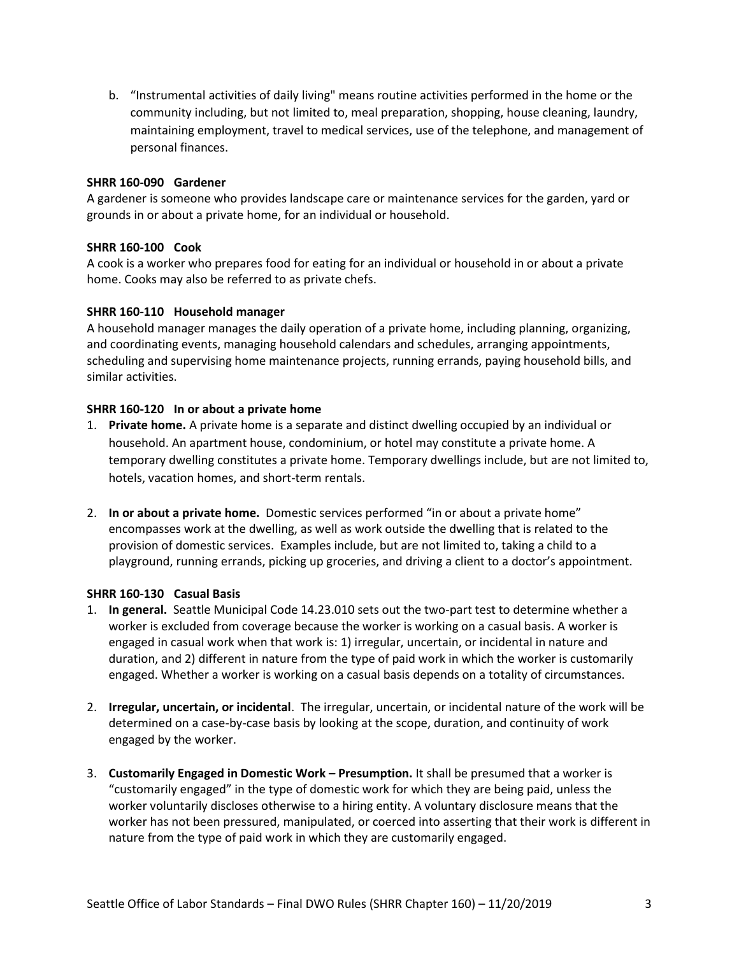b. "Instrumental activities of daily living" means routine activities performed in the home or the community including, but not limited to, meal preparation, shopping, house cleaning, laundry, maintaining employment, travel to medical services, use of the telephone, and management of personal finances.

# **SHRR 160-090 Gardener**

A gardener is someone who provides landscape care or maintenance services for the garden, yard or grounds in or about a private home, for an individual or household.

# **SHRR 160-100 Cook**

A cook is a worker who prepares food for eating for an individual or household in or about a private home. Cooks may also be referred to as private chefs.

### **SHRR 160-110 Household manager**

A household manager manages the daily operation of a private home, including planning, organizing, and coordinating events, managing household calendars and schedules, arranging appointments, scheduling and supervising home maintenance projects, running errands, paying household bills, and similar activities.

### **SHRR 160-120 In or about a private home**

- 1. **Private home.** A private home is a separate and distinct dwelling occupied by an individual or household. An apartment house, condominium, or hotel may constitute a private home. A temporary dwelling constitutes a private home. Temporary dwellings include, but are not limited to, hotels, vacation homes, and short-term rentals.
- 2. **In or about a private home.** Domestic services performed "in or about a private home" encompasses work at the dwelling, as well as work outside the dwelling that is related to the provision of domestic services. Examples include, but are not limited to, taking a child to a playground, running errands, picking up groceries, and driving a client to a doctor's appointment.

### **SHRR 160-130 Casual Basis**

- 1. **In general.** Seattle Municipal Code 14.23.010 sets out the two-part test to determine whether a worker is excluded from coverage because the worker is working on a casual basis. A worker is engaged in casual work when that work is: 1) irregular, uncertain, or incidental in nature and duration, and 2) different in nature from the type of paid work in which the worker is customarily engaged. Whether a worker is working on a casual basis depends on a totality of circumstances.
- 2. **Irregular, uncertain, or incidental**. The irregular, uncertain, or incidental nature of the work will be determined on a case-by-case basis by looking at the scope, duration, and continuity of work engaged by the worker.
- 3. **Customarily Engaged in Domestic Work – Presumption.** It shall be presumed that a worker is "customarily engaged" in the type of domestic work for which they are being paid, unless the worker voluntarily discloses otherwise to a hiring entity. A voluntary disclosure means that the worker has not been pressured, manipulated, or coerced into asserting that their work is different in nature from the type of paid work in which they are customarily engaged.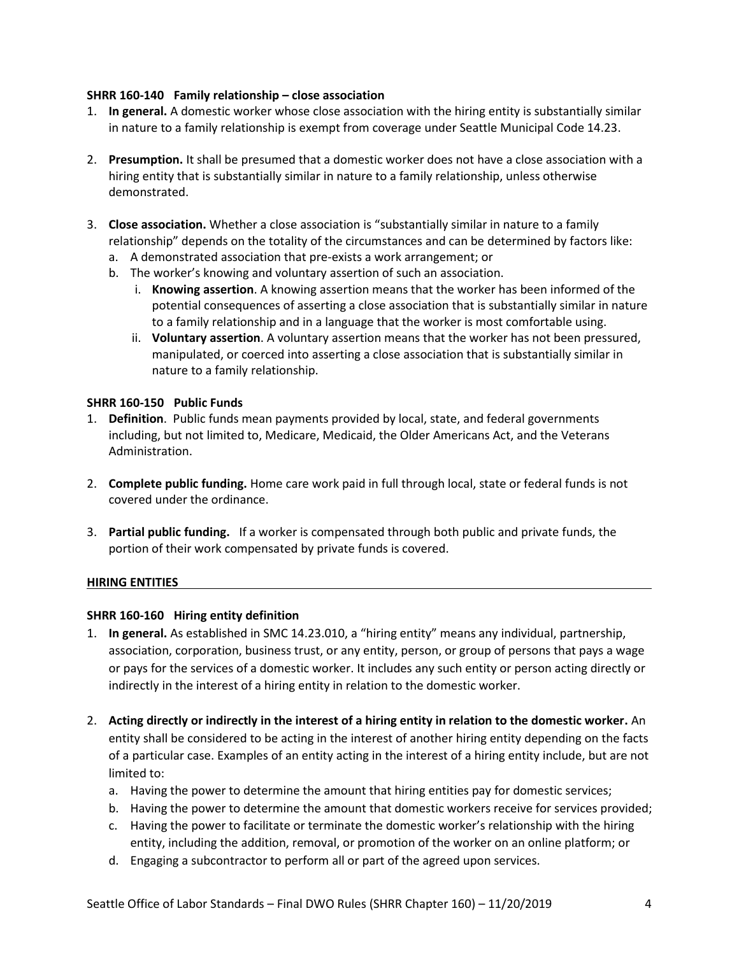# **SHRR 160-140 Family relationship – close association**

- 1. **In general.** A domestic worker whose close association with the hiring entity is substantially similar in nature to a family relationship is exempt from coverage under Seattle Municipal Code 14.23.
- 2. **Presumption.** It shall be presumed that a domestic worker does not have a close association with a hiring entity that is substantially similar in nature to a family relationship, unless otherwise demonstrated.
- 3. **Close association.** Whether a close association is "substantially similar in nature to a family relationship" depends on the totality of the circumstances and can be determined by factors like:
	- a. A demonstrated association that pre-exists a work arrangement; or
	- b. The worker's knowing and voluntary assertion of such an association.
		- i. **Knowing assertion**. A knowing assertion means that the worker has been informed of the potential consequences of asserting a close association that is substantially similar in nature to a family relationship and in a language that the worker is most comfortable using.
		- ii. **Voluntary assertion**. A voluntary assertion means that the worker has not been pressured, manipulated, or coerced into asserting a close association that is substantially similar in nature to a family relationship.

# **SHRR 160-150 Public Funds**

- 1. **Definition**. Public funds mean payments provided by local, state, and federal governments including, but not limited to, Medicare, Medicaid, the Older Americans Act, and the Veterans Administration.
- 2. **Complete public funding.** Home care work paid in full through local, state or federal funds is not covered under the ordinance.
- 3. **Partial public funding.** If a worker is compensated through both public and private funds, the portion of their work compensated by private funds is covered.

# **HIRING ENTITIES**

# **SHRR 160-160 Hiring entity definition**

- 1. **In general.** As established in SMC 14.23.010, a "hiring entity" means any individual, partnership, association, corporation, business trust, or any entity, person, or group of persons that pays a wage or pays for the services of a domestic worker. It includes any such entity or person acting directly or indirectly in the interest of a hiring entity in relation to the domestic worker.
- 2. **Acting directly or indirectly in the interest of a hiring entity in relation to the domestic worker.** An entity shall be considered to be acting in the interest of another hiring entity depending on the facts of a particular case. Examples of an entity acting in the interest of a hiring entity include, but are not limited to:
	- a. Having the power to determine the amount that hiring entities pay for domestic services;
	- b. Having the power to determine the amount that domestic workers receive for services provided;
	- c. Having the power to facilitate or terminate the domestic worker's relationship with the hiring entity, including the addition, removal, or promotion of the worker on an online platform; or
	- d. Engaging a subcontractor to perform all or part of the agreed upon services.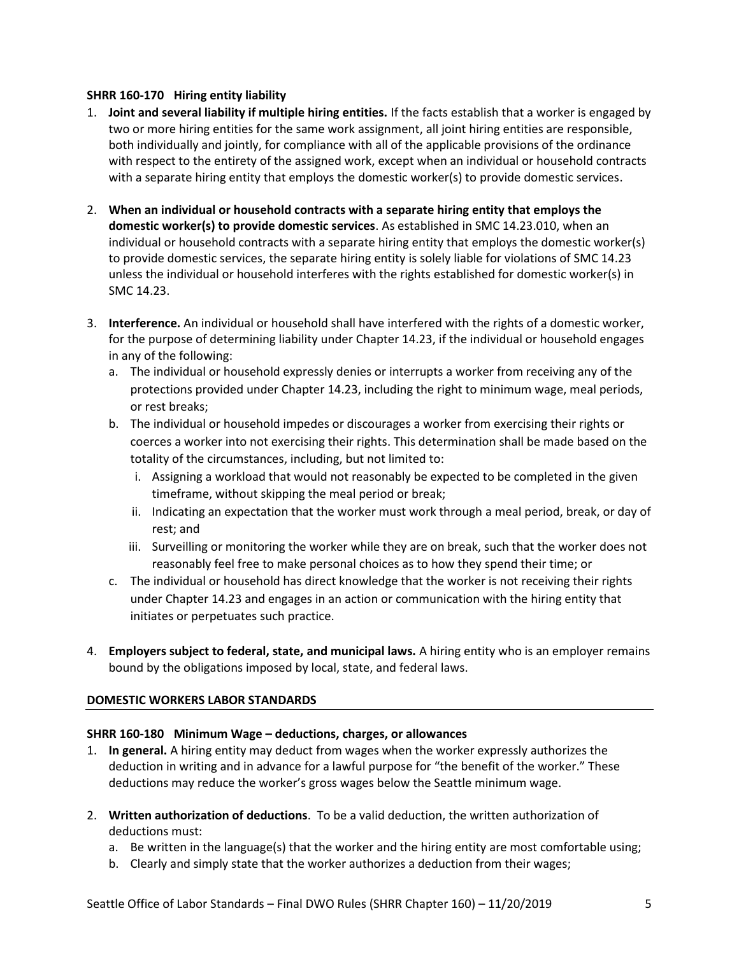# **SHRR 160-170 Hiring entity liability**

- 1. **Joint and several liability if multiple hiring entities.** If the facts establish that a worker is engaged by two or more hiring entities for the same work assignment, all joint hiring entities are responsible, both individually and jointly, for compliance with all of the applicable provisions of the ordinance with respect to the entirety of the assigned work, except when an individual or household contracts with a separate hiring entity that employs the domestic worker(s) to provide domestic services.
- 2. **When an individual or household contracts with a separate hiring entity that employs the domestic worker(s) to provide domestic services**. As established in SMC 14.23.010, when an individual or household contracts with a separate hiring entity that employs the domestic worker(s) to provide domestic services, the separate hiring entity is solely liable for violations of SMC 14.23 unless the individual or household interferes with the rights established for domestic worker(s) in SMC 14.23.
- 3. **Interference.** An individual or household shall have interfered with the rights of a domestic worker, for the purpose of determining liability under Chapter 14.23, if the individual or household engages in any of the following:
	- a. The individual or household expressly denies or interrupts a worker from receiving any of the protections provided under Chapter 14.23, including the right to minimum wage, meal periods, or rest breaks;
	- b. The individual or household impedes or discourages a worker from exercising their rights or coerces a worker into not exercising their rights. This determination shall be made based on the totality of the circumstances, including, but not limited to:
		- i. Assigning a workload that would not reasonably be expected to be completed in the given timeframe, without skipping the meal period or break;
		- ii. Indicating an expectation that the worker must work through a meal period, break, or day of rest; and
		- iii. Surveilling or monitoring the worker while they are on break, such that the worker does not reasonably feel free to make personal choices as to how they spend their time; or
	- c. The individual or household has direct knowledge that the worker is not receiving their rights under Chapter 14.23 and engages in an action or communication with the hiring entity that initiates or perpetuates such practice.
- 4. **Employers subject to federal, state, and municipal laws.** A hiring entity who is an employer remains bound by the obligations imposed by local, state, and federal laws.

# **DOMESTIC WORKERS LABOR STANDARDS**

# **SHRR 160-180 Minimum Wage – deductions, charges, or allowances**

- 1. **In general.** A hiring entity may deduct from wages when the worker expressly authorizes the deduction in writing and in advance for a lawful purpose for "the benefit of the worker." These deductions may reduce the worker's gross wages below the Seattle minimum wage.
- 2. **Written authorization of deductions**. To be a valid deduction, the written authorization of deductions must:
	- a. Be written in the language(s) that the worker and the hiring entity are most comfortable using;
	- b. Clearly and simply state that the worker authorizes a deduction from their wages;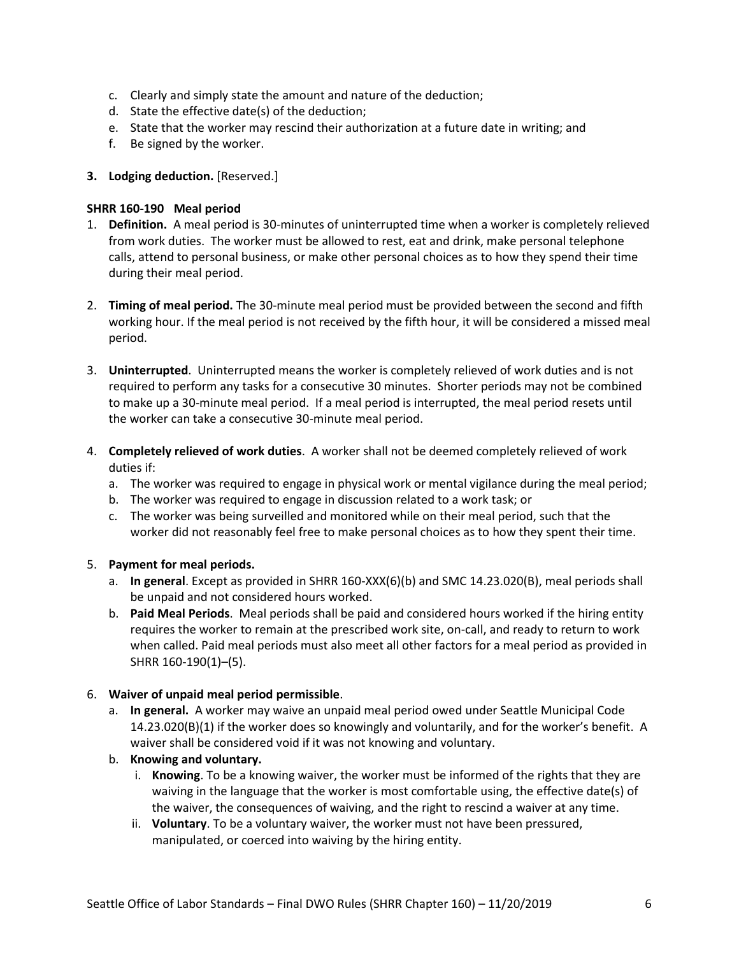- c. Clearly and simply state the amount and nature of the deduction;
- d. State the effective date(s) of the deduction;
- e. State that the worker may rescind their authorization at a future date in writing; and
- f. Be signed by the worker.
- **3.** Lodging deduction. [Reserved.]

# **SHRR 160-190 Meal period**

- 1. **Definition.** A meal period is 30-minutes of uninterrupted time when a worker is completely relieved from work duties. The worker must be allowed to rest, eat and drink, make personal telephone calls, attend to personal business, or make other personal choices as to how they spend their time during their meal period.
- 2. **Timing of meal period.** The 30-minute meal period must be provided between the second and fifth working hour. If the meal period is not received by the fifth hour, it will be considered a missed meal period.
- 3. **Uninterrupted**. Uninterrupted means the worker is completely relieved of work duties and is not required to perform any tasks for a consecutive 30 minutes. Shorter periods may not be combined to make up a 30-minute meal period. If a meal period is interrupted, the meal period resets until the worker can take a consecutive 30-minute meal period.
- 4. **Completely relieved of work duties**. A worker shall not be deemed completely relieved of work duties if:
	- a. The worker was required to engage in physical work or mental vigilance during the meal period;
	- b. The worker was required to engage in discussion related to a work task; or
	- c. The worker was being surveilled and monitored while on their meal period, such that the worker did not reasonably feel free to make personal choices as to how they spent their time.

# 5. **Payment for meal periods.**

- a. **In general**. Except as provided in SHRR 160-XXX(6)(b) and SMC 14.23.020(B), meal periods shall be unpaid and not considered hours worked.
- b. **Paid Meal Periods**. Meal periods shall be paid and considered hours worked if the hiring entity requires the worker to remain at the prescribed work site, on-call, and ready to return to work when called. Paid meal periods must also meet all other factors for a meal period as provided in SHRR 160-190(1)–(5).

# 6. **Waiver of unpaid meal period permissible**.

- a. **In general.** A worker may waive an unpaid meal period owed under Seattle Municipal Code 14.23.020(B)(1) if the worker does so knowingly and voluntarily, and for the worker's benefit. A waiver shall be considered void if it was not knowing and voluntary.
- b. **Knowing and voluntary.** 
	- i. **Knowing**. To be a knowing waiver, the worker must be informed of the rights that they are waiving in the language that the worker is most comfortable using, the effective date(s) of the waiver, the consequences of waiving, and the right to rescind a waiver at any time.
	- ii. **Voluntary**. To be a voluntary waiver, the worker must not have been pressured, manipulated, or coerced into waiving by the hiring entity.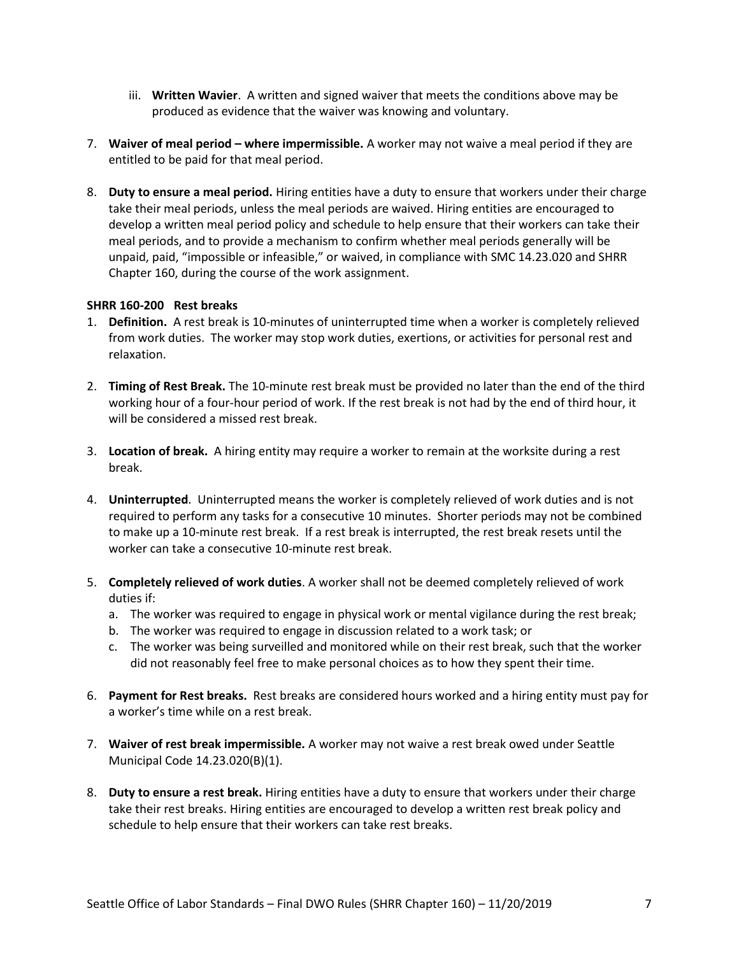- iii. **Written Wavier**. A written and signed waiver that meets the conditions above may be produced as evidence that the waiver was knowing and voluntary.
- 7. **Waiver of meal period – where impermissible.** A worker may not waive a meal period if they are entitled to be paid for that meal period.
- 8. **Duty to ensure a meal period.** Hiring entities have a duty to ensure that workers under their charge take their meal periods, unless the meal periods are waived. Hiring entities are encouraged to develop a written meal period policy and schedule to help ensure that their workers can take their meal periods, and to provide a mechanism to confirm whether meal periods generally will be unpaid, paid, "impossible or infeasible," or waived, in compliance with SMC 14.23.020 and SHRR Chapter 160, during the course of the work assignment.

### **SHRR 160-200 Rest breaks**

- 1. **Definition.** A rest break is 10-minutes of uninterrupted time when a worker is completely relieved from work duties. The worker may stop work duties, exertions, or activities for personal rest and relaxation.
- 2. **Timing of Rest Break.** The 10-minute rest break must be provided no later than the end of the third working hour of a four-hour period of work. If the rest break is not had by the end of third hour, it will be considered a missed rest break.
- 3. **Location of break.** A hiring entity may require a worker to remain at the worksite during a rest break.
- 4. **Uninterrupted**. Uninterrupted means the worker is completely relieved of work duties and is not required to perform any tasks for a consecutive 10 minutes. Shorter periods may not be combined to make up a 10-minute rest break. If a rest break is interrupted, the rest break resets until the worker can take a consecutive 10-minute rest break.
- 5. **Completely relieved of work duties**. A worker shall not be deemed completely relieved of work duties if:
	- a. The worker was required to engage in physical work or mental vigilance during the rest break;
	- b. The worker was required to engage in discussion related to a work task; or
	- c. The worker was being surveilled and monitored while on their rest break, such that the worker did not reasonably feel free to make personal choices as to how they spent their time.
- 6. **Payment for Rest breaks.** Rest breaks are considered hours worked and a hiring entity must pay for a worker's time while on a rest break.
- 7. **Waiver of rest break impermissible.** A worker may not waive a rest break owed under Seattle Municipal Code 14.23.020(B)(1).
- 8. **Duty to ensure a rest break.** Hiring entities have a duty to ensure that workers under their charge take their rest breaks. Hiring entities are encouraged to develop a written rest break policy and schedule to help ensure that their workers can take rest breaks.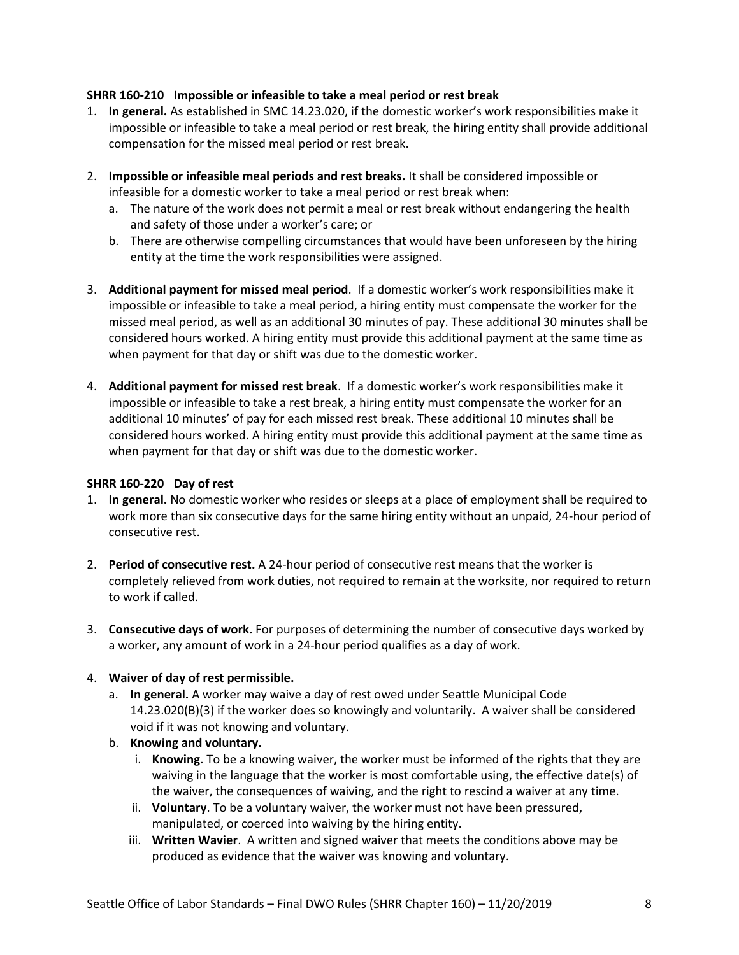# **SHRR 160-210 Impossible or infeasible to take a meal period or rest break**

- 1. **In general.** As established in SMC 14.23.020, if the domestic worker's work responsibilities make it impossible or infeasible to take a meal period or rest break, the hiring entity shall provide additional compensation for the missed meal period or rest break.
- 2. **Impossible or infeasible meal periods and rest breaks.** It shall be considered impossible or infeasible for a domestic worker to take a meal period or rest break when:
	- a. The nature of the work does not permit a meal or rest break without endangering the health and safety of those under a worker's care; or
	- b. There are otherwise compelling circumstances that would have been unforeseen by the hiring entity at the time the work responsibilities were assigned.
- 3. **Additional payment for missed meal period**. If a domestic worker's work responsibilities make it impossible or infeasible to take a meal period, a hiring entity must compensate the worker for the missed meal period, as well as an additional 30 minutes of pay. These additional 30 minutes shall be considered hours worked. A hiring entity must provide this additional payment at the same time as when payment for that day or shift was due to the domestic worker.
- 4. **Additional payment for missed rest break**. If a domestic worker's work responsibilities make it impossible or infeasible to take a rest break, a hiring entity must compensate the worker for an additional 10 minutes' of pay for each missed rest break. These additional 10 minutes shall be considered hours worked. A hiring entity must provide this additional payment at the same time as when payment for that day or shift was due to the domestic worker.

### **SHRR 160-220 Day of rest**

- 1. **In general.** No domestic worker who resides or sleeps at a place of employment shall be required to work more than six consecutive days for the same hiring entity without an unpaid, 24-hour period of consecutive rest.
- 2. **Period of consecutive rest.** A 24-hour period of consecutive rest means that the worker is completely relieved from work duties, not required to remain at the worksite, nor required to return to work if called.
- 3. **Consecutive days of work.** For purposes of determining the number of consecutive days worked by a worker, any amount of work in a 24-hour period qualifies as a day of work.

# 4. **Waiver of day of rest permissible.**

- a. **In general.** A worker may waive a day of rest owed under Seattle Municipal Code 14.23.020(B)(3) if the worker does so knowingly and voluntarily. A waiver shall be considered void if it was not knowing and voluntary.
- b. **Knowing and voluntary.** 
	- i. **Knowing**. To be a knowing waiver, the worker must be informed of the rights that they are waiving in the language that the worker is most comfortable using, the effective date(s) of the waiver, the consequences of waiving, and the right to rescind a waiver at any time.
	- ii. **Voluntary**. To be a voluntary waiver, the worker must not have been pressured, manipulated, or coerced into waiving by the hiring entity.
	- iii. **Written Wavier**. A written and signed waiver that meets the conditions above may be produced as evidence that the waiver was knowing and voluntary.